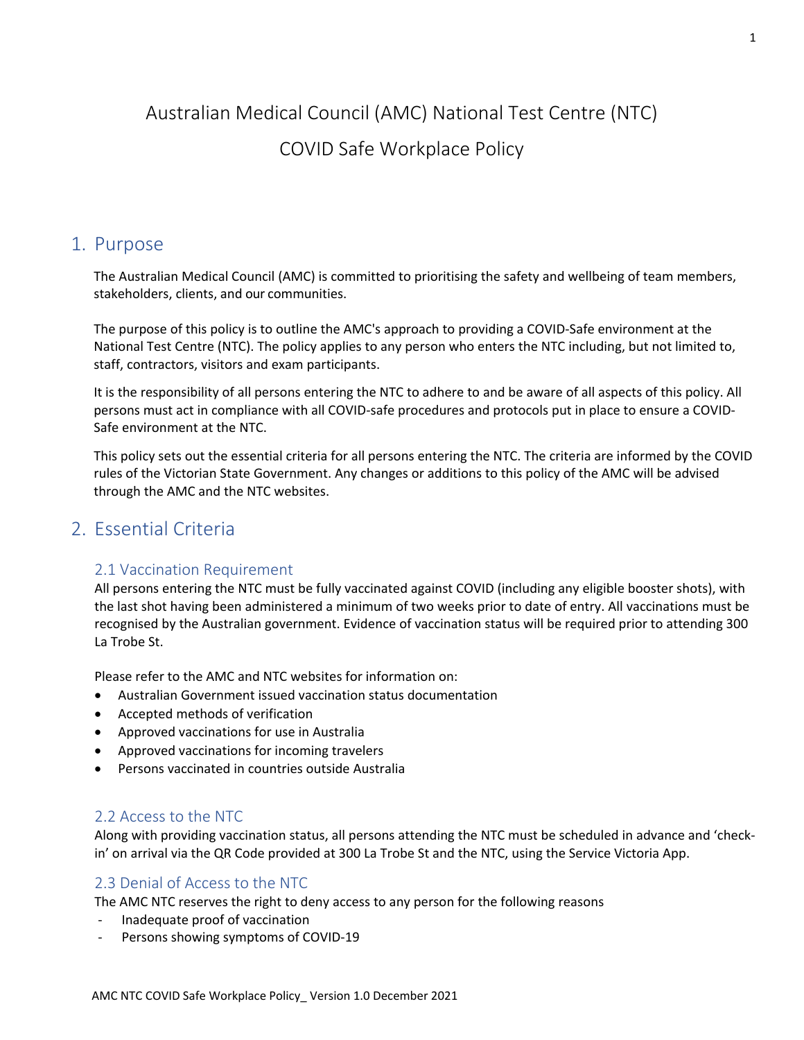# Australian Medical Council (AMC) National Test Centre (NTC) COVID Safe Workplace Policy

### 1. Purpose

The Australian Medical Council (AMC) is committed to prioritising the safety and wellbeing of team members, stakeholders, clients, and our communities.

The purpose of this policy is to outline the AMC's approach to providing a COVID-Safe environment at the National Test Centre (NTC). The policy applies to any person who enters the NTC including, but not limited to, staff, contractors, visitors and exam participants.

It is the responsibility of all persons entering the NTC to adhere to and be aware of all aspects of this policy. All persons must act in compliance with all COVID-safe procedures and protocols put in place to ensure a COVID-Safe environment at the NTC.

This policy sets out the essential criteria for all persons entering the NTC. The criteria are informed by the COVID rules of the Victorian State Government. Any changes or additions to this policy of the AMC will be advised through the AMC and the NTC websites.

### 2. Essential Criteria

### 2.1 Vaccination Requirement

All persons entering the NTC must be fully vaccinated against COVID (including any eligible booster shots), with the last shot having been administered a minimum of two weeks prior to date of entry. All vaccinations must be recognised by the Australian government. Evidence of vaccination status will be required prior to attending 300 La Trobe St.

Please refer to the AMC and NTC websites for information on:

- Australian Government issued vaccination status documentation
- Accepted methods of verification
- Approved vaccinations for use in Australia
- Approved vaccinations for incoming travelers
- Persons vaccinated in countries outside Australia

### 2.2 Access to the NTC

Along with providing vaccination status, all persons attending the NTC must be scheduled in advance and 'checkin' on arrival via the QR Code provided at 300 La Trobe St and the NTC, using the Service Victoria App.

### 2.3 Denial of Access to the NTC

The AMC NTC reserves the right to deny access to any person for the following reasons

- Inadequate proof of vaccination
- Persons showing symptoms of COVID-19